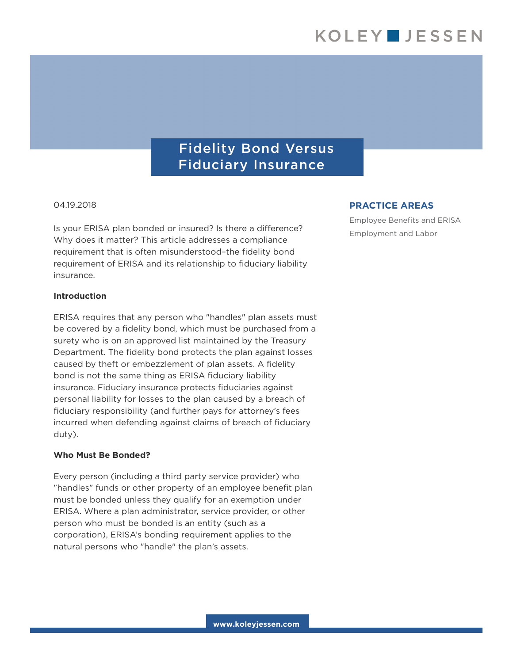# Fidelity Bond Versus Fiduciary Insurance

#### 04.19.2018

Is your ERISA plan bonded or insured? Is there a difference? Why does it matter? This article addresses a compliance requirement that is often misunderstood–the fidelity bond requirement of ERISA and its relationship to fiduciary liability insurance.

#### **Introduction**

ERISA requires that any person who "handles" plan assets must be covered by a fidelity bond, which must be purchased from a surety who is on an approved list maintained by the Treasury Department. The fidelity bond protects the plan against losses caused by theft or embezzlement of plan assets. A fidelity bond is not the same thing as ERISA fiduciary liability insurance. Fiduciary insurance protects fiduciaries against personal liability for losses to the plan caused by a breach of fiduciary responsibility (and further pays for attorney's fees incurred when defending against claims of breach of fiduciary duty).

#### **Who Must Be Bonded?**

Every person (including a third party service provider) who "handles" funds or other property of an employee benefit plan must be bonded unless they qualify for an exemption under ERISA. Where a plan administrator, service provider, or other person who must be bonded is an entity (such as a corporation), ERISA's bonding requirement applies to the natural persons who "handle" the plan's assets.

### **PRACTICE AREAS**

Employee Benefits and ERISA Employment and Labor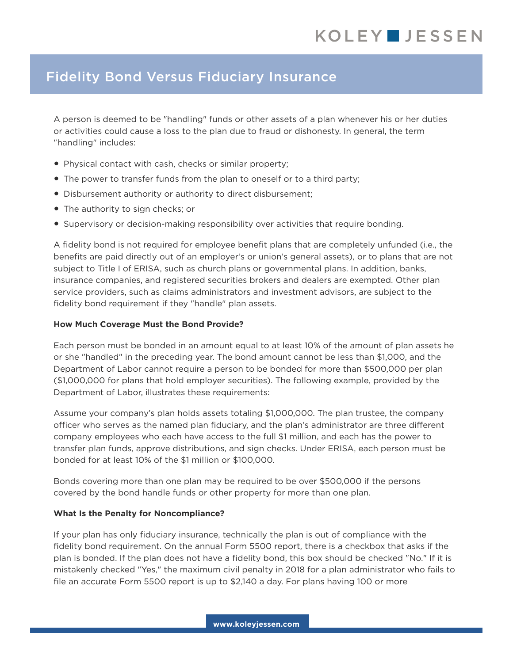# Fidelity Bond Versus Fiduciary Insurance

A person is deemed to be "handling" funds or other assets of a plan whenever his or her duties or activities could cause a loss to the plan due to fraud or dishonesty. In general, the term "handling" includes:

- Physical contact with cash, checks or similar property;
- The power to transfer funds from the plan to oneself or to a third party;
- Disbursement authority or authority to direct disbursement;
- The authority to sign checks; or
- Supervisory or decision-making responsibility over activities that require bonding.

A fidelity bond is not required for employee benefit plans that are completely unfunded (i.e., the benefits are paid directly out of an employer's or union's general assets), or to plans that are not subject to Title I of ERISA, such as church plans or governmental plans. In addition, banks, insurance companies, and registered securities brokers and dealers are exempted. Other plan service providers, such as claims administrators and investment advisors, are subject to the fidelity bond requirement if they "handle" plan assets.

### **How Much Coverage Must the Bond Provide?**

Each person must be bonded in an amount equal to at least 10% of the amount of plan assets he or she "handled" in the preceding year. The bond amount cannot be less than \$1,000, and the Department of Labor cannot require a person to be bonded for more than \$500,000 per plan (\$1,000,000 for plans that hold employer securities). The following example, provided by the Department of Labor, illustrates these requirements:

Assume your company's plan holds assets totaling \$1,000,000. The plan trustee, the company officer who serves as the named plan fiduciary, and the plan's administrator are three different company employees who each have access to the full \$1 million, and each has the power to transfer plan funds, approve distributions, and sign checks. Under ERISA, each person must be bonded for at least 10% of the \$1 million or \$100,000.

Bonds covering more than one plan may be required to be over \$500,000 if the persons covered by the bond handle funds or other property for more than one plan.

## **What Is the Penalty for Noncompliance?**

If your plan has only fiduciary insurance, technically the plan is out of compliance with the fidelity bond requirement. On the annual Form 5500 report, there is a checkbox that asks if the plan is bonded. If the plan does not have a fidelity bond, this box should be checked "No." If it is mistakenly checked "Yes," the maximum civil penalty in 2018 for a plan administrator who fails to file an accurate Form 5500 report is up to \$2,140 a day. For plans having 100 or more